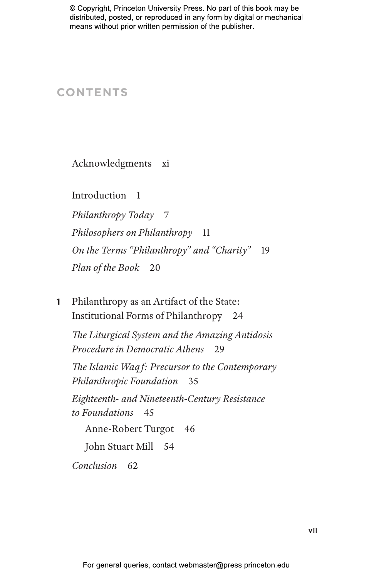# **CONTENTS**

Acknowledgments xi

Introduction 1 *Philanthropy Today* 7 *Philosophers on Philanthropy* 11 *On the Terms "Philanthropy" and "Charity"* 19 *Plan of the Book* 20

**1** Philanthropy as an Artifact of the State: Institutional Forms of Philanthropy 24

*The Liturgical System and the Amazing Antidosis Procedure in Democratic Athens* 29 *The Islamic Waqf: Precursor to the Contemporary Philanthropic Foundation* 35 *Eighteenth- and Nineteenth-Century Resistance to Foundations* 45 Anne-Robert Turgot 46 John Stuart Mill 54 *Conclusion* 62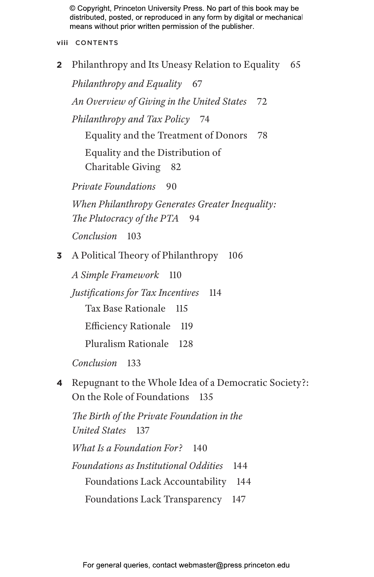- **viii** CONTENTS
- **2** Philanthropy and Its Uneasy Relation to Equality 65

*Philanthropy and Equality* 67 *An Overview of Giving in the United States* 72 *Philanthropy and Tax Policy* 74 Equality and the Treatment of Donors 78 Equality and the Distribution of Charitable Giving 82 *Private Foundations* 90 *When Philanthropy Generates Greater Inequality:* 

The Plutocracy of the PTA 94

*Conclusion* 103

**3** A Political Theory of Philanthropy 106

*A Simple Framework* 110

*Justifications for Tax Incentives* 114

Tax Base Rationale 115

Efficiency Rationale 119

Pluralism Rationale 128

*Conclusion* 133

**4** Repugnant to the Whole Idea of a Democratic Society?: On the Role of Foundations 135

*The Birth of the Private Foundation in the United States* 137 *What Is a Foundation For?* 140 *Foundations as Institutional Oddities* 144 Foundations Lack Accountability 144 Foundations Lack Transparency 147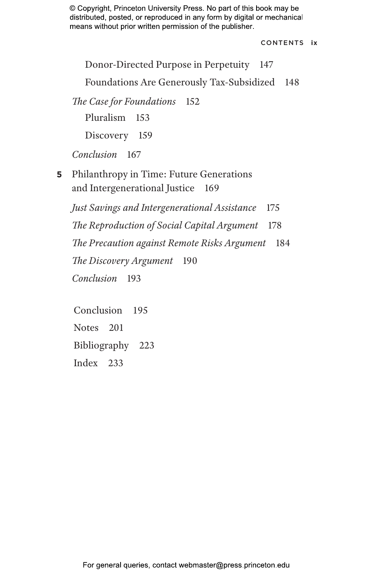CONTENTS **ix**

 Donor-Directed Purpose in Perpetuity 147 Foundations Are Generously Tax-Subsidized 148 *The Case for Foundations* 152 Pluralism 153 Discovery 159 *Conclusion* 167

**5** Philanthropy in Time: Future Generations and Intergenerational Justice 169

*Just Savings and Intergenerational Assistance* 175 *The Reproduction of Social Capital Argument* 178 *The Precaution against Remote Risks Argument* 184 *The Discovery Argument* 190 *Conclusion* 193

Conclusion 195 Notes 201 Bibliography 223 Index 233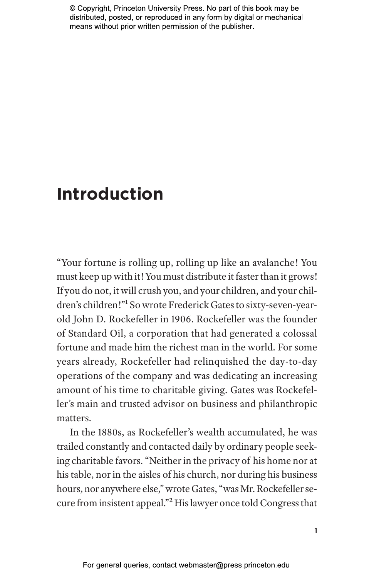# **Introduction**

"Your fortune is rolling up, rolling up like an avalanche! You must keep up with it! You must distribute it faster than it grows! If you do not, it will crush you, and your children, and your children's children!"1 So wrote Frederick Gates to sixty-seven-yearold John D. Rockefeller in 1906. Rockefeller was the founder of Standard Oil, a corporation that had generated a colossal fortune and made him the richest man in the world. For some years already, Rockefeller had relinquished the day-to-day operations of the company and was dedicating an increasing amount of his time to charitable giving. Gates was Rockefeller's main and trusted advisor on business and philanthropic matters.

In the 1880s, as Rockefeller's wealth accumulated, he was trailed constantly and contacted daily by ordinary people seeking charitable favors. "Neither in the privacy of his home nor at his table, nor in the aisles of his church, nor during his business hours, nor anywhere else," wrote Gates, "was Mr. Rockefeller secure from insistent appeal."2 His lawyer once told Congress that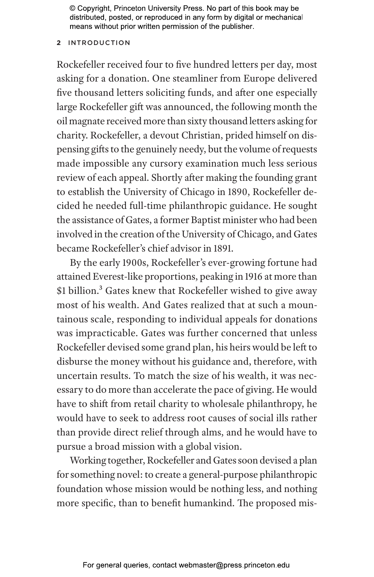**2** INTRODUCTION

Rockefeller received four to five hundred letters per day, most asking for a donation. One steamliner from Europe delivered five thousand letters soliciting funds, and after one especially large Rockefeller gift was announced, the following month the oil magnate received more than sixty thousand letters asking for charity. Rockefeller, a devout Christian, prided himself on dispensing gifts to the genuinely needy, but the volume of requests made impossible any cursory examination much less serious review of each appeal. Shortly after making the founding grant to establish the University of Chicago in 1890, Rockefeller decided he needed full-time philanthropic guidance. He sought the assistance of Gates, a former Baptist minister who had been involved in the creation of the University of Chicago, and Gates became Rockefeller's chief advisor in 1891.

By the early 1900s, Rockefeller's ever-growing fortune had attained Everest-like proportions, peaking in 1916 at more than \$1 billion.<sup>3</sup> Gates knew that Rockefeller wished to give away most of his wealth. And Gates realized that at such a mountainous scale, responding to individual appeals for donations was impracticable. Gates was further concerned that unless Rockefeller devised some grand plan, his heirs would be left to disburse the money without his guidance and, therefore, with uncertain results. To match the size of his wealth, it was necessary to do more than accelerate the pace of giving. He would have to shift from retail charity to wholesale philanthropy, he would have to seek to address root causes of social ills rather than provide direct relief through alms, and he would have to pursue a broad mission with a global vision.

Working together, Rockefeller and Gates soon devised a plan for something novel: to create a general-purpose philanthropic foundation whose mission would be nothing less, and nothing more specific, than to benefit humankind. The proposed mis-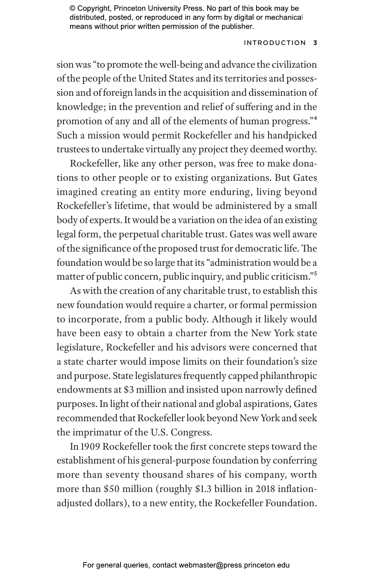#### Introduction **3**

sion was "to promote the well-being and advance the civilization of the people of the United States and its territories and possession and of foreign lands in the acquisition and dissemination of knowledge; in the prevention and relief of suffering and in the promotion of any and all of the elements of human progress."4 Such a mission would permit Rockefeller and his handpicked trustees to undertake virtually any project they deemed worthy.

Rockefeller, like any other person, was free to make donations to other people or to existing organizations. But Gates imagined creating an entity more enduring, living beyond Rockefeller's lifetime, that would be administered by a small body of experts. It would be a variation on the idea of an existing legal form, the perpetual charitable trust. Gates was well aware of the significance of the proposed trust for democratic life. The foundation would be so large that its "administration would be a matter of public concern, public inquiry, and public criticism."5

As with the creation of any charitable trust, to establish this new foundation would require a charter, or formal permission to incorporate, from a public body. Although it likely would have been easy to obtain a charter from the New York state legislature, Rockefeller and his advisors were concerned that a state charter would impose limits on their foundation's size and purpose. State legislatures frequently capped philanthropic endowments at \$3 million and insisted upon narrowly defined purposes. In light of their national and global aspirations, Gates recommended that Rockefeller look beyond New York and seek the imprimatur of the U.S. Congress.

In 1909 Rockefeller took the first concrete steps toward the establishment of his general-purpose foundation by conferring more than seventy thousand shares of his company, worth more than \$50 million (roughly \$1.3 billion in 2018 inflationadjusted dollars), to a new entity, the Rockefeller Foundation.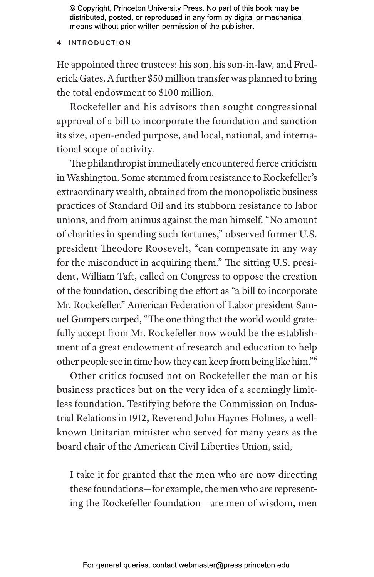**4** INTRODUCTION

He appointed three trustees: his son, his son-in-law, and Frederick Gates. A further \$50 million transfer was planned to bring the total endowment to \$100 million.

Rockefeller and his advisors then sought congressional approval of a bill to incorporate the foundation and sanction its size, open-ended purpose, and local, national, and international scope of activity.

The philanthropist immediately encountered fierce criticism in Washington. Some stemmed from resistance to Rockefeller's extraordinary wealth, obtained from the monopolistic business practices of Standard Oil and its stubborn resistance to labor unions, and from animus against the man himself. "No amount of charities in spending such fortunes," observed former U.S. president Theodore Roosevelt, "can compensate in any way for the misconduct in acquiring them." The sitting U.S. president, William Taft, called on Congress to oppose the creation of the foundation, describing the effort as "a bill to incorporate Mr. Rockefeller." American Federation of Labor president Samuel Gompers carped, "The one thing that the world would gratefully accept from Mr. Rockefeller now would be the establishment of a great endowment of research and education to help other people see in time how they can keep from being like him."6

Other critics focused not on Rockefeller the man or his business practices but on the very idea of a seemingly limitless foundation. Testifying before the Commission on Industrial Relations in 1912, Reverend John Haynes Holmes, a wellknown Unitarian minister who served for many years as the board chair of the American Civil Liberties Union, said,

I take it for granted that the men who are now directing these foundations—for example, the men who are representing the Rockefeller foundation—are men of wisdom, men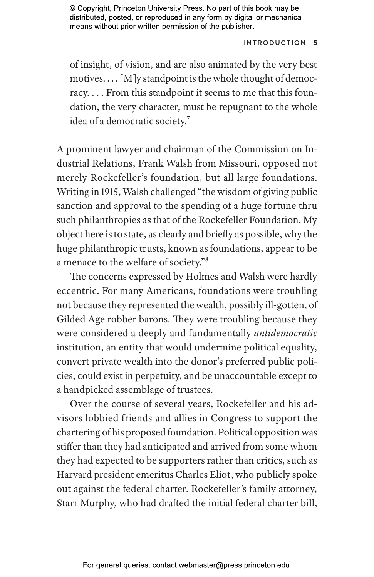## Introduction **5**

of insight, of vision, and are also animated by the very best motives. . . . [M]y standpoint is the whole thought of democracy. . . . From this standpoint it seems to me that this foundation, the very character, must be repugnant to the whole idea of a democratic society.7

A prominent lawyer and chairman of the Commission on Industrial Relations, Frank Walsh from Missouri, opposed not merely Rockefeller's foundation, but all large foundations. Writing in 1915, Walsh challenged "the wisdom of giving public sanction and approval to the spending of a huge fortune thru such philanthropies as that of the Rockefeller Foundation. My object here is to state, as clearly and briefly as possible, why the huge philanthropic trusts, known as foundations, appear to be a menace to the welfare of society."8

The concerns expressed by Holmes and Walsh were hardly eccentric. For many Americans, foundations were troubling not because they represented the wealth, possibly ill-gotten, of Gilded Age robber barons. They were troubling because they were considered a deeply and fundamentally *antidemocratic* institution, an entity that would undermine political equality, convert private wealth into the donor's preferred public policies, could exist in perpetuity, and be unaccountable except to a handpicked assemblage of trustees.

Over the course of several years, Rockefeller and his advisors lobbied friends and allies in Congress to support the chartering of his proposed foundation. Political opposition was stiffer than they had anticipated and arrived from some whom they had expected to be supporters rather than critics, such as Harvard president emeritus Charles Eliot, who publicly spoke out against the federal charter. Rockefeller's family attorney, Starr Murphy, who had drafted the initial federal charter bill,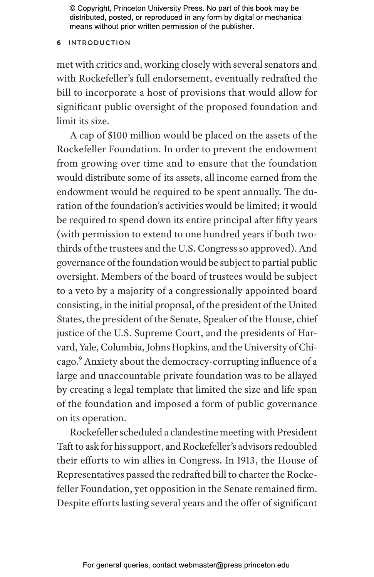**6** INTRODUCTION

met with critics and, working closely with several senators and with Rockefeller's full endorsement, eventually redrafted the bill to incorporate a host of provisions that would allow for significant public oversight of the proposed foundation and limit its size.

A cap of \$100 million would be placed on the assets of the Rockefeller Foundation. In order to prevent the endowment from growing over time and to ensure that the foundation would distribute some of its assets, all income earned from the endowment would be required to be spent annually. The duration of the foundation's activities would be limited; it would be required to spend down its entire principal after fifty years (with permission to extend to one hundred years if both twothirds of the trustees and the U.S. Congress so approved). And governance of the foundation would be subject to partial public oversight. Members of the board of trustees would be subject to a veto by a majority of a congressionally appointed board consisting, in the initial proposal, of the president of the United States, the president of the Senate, Speaker of the House, chief justice of the U.S. Supreme Court, and the presidents of Harvard, Yale, Columbia, Johns Hopkins, and the University of Chicago.9 Anxiety about the democracy-corrupting influence of a large and unaccountable private foundation was to be allayed by creating a legal template that limited the size and life span of the foundation and imposed a form of public governance on its operation.

Rockefeller scheduled a clandestine meeting with President Taft to ask for his support, and Rockefeller's advisors redoubled their efforts to win allies in Congress. In 1913, the House of Representatives passed the redrafted bill to charter the Rockefeller Foundation, yet opposition in the Senate remained firm. Despite efforts lasting several years and the offer of significant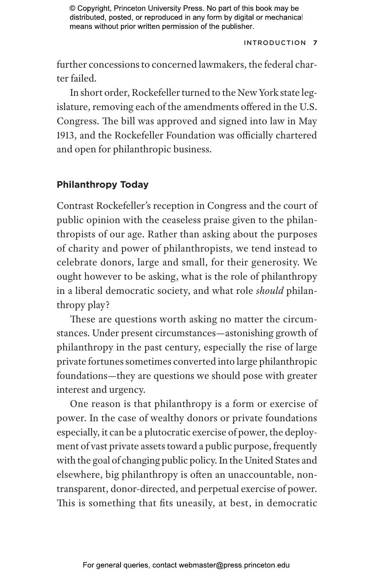#### Introduction **7**

further concessions to concerned lawmakers, the federal charter failed.

In short order, Rockefeller turned to the New York state legislature, removing each of the amendments offered in the U.S. Congress. The bill was approved and signed into law in May 1913, and the Rockefeller Foundation was officially chartered and open for philanthropic business.

## **Philanthropy Today**

Contrast Rockefeller's reception in Congress and the court of public opinion with the ceaseless praise given to the philanthropists of our age. Rather than asking about the purposes of charity and power of philanthropists, we tend instead to celebrate donors, large and small, for their generosity. We ought however to be asking, what is the role of philanthropy in a liberal democratic society, and what role *should* philanthropy play?

These are questions worth asking no matter the circumstances. Under present circumstances—astonishing growth of philanthropy in the past century, especially the rise of large private fortunes sometimes converted into large philanthropic foundations—they are questions we should pose with greater interest and urgency.

One reason is that philanthropy is a form or exercise of power. In the case of wealthy donors or private foundations especially, it can be a plutocratic exercise of power, the deployment of vast private assets toward a public purpose, frequently with the goal of changing public policy. In the United States and elsewhere, big philanthropy is often an unaccountable, nontransparent, donor-directed, and perpetual exercise of power. This is something that fits uneasily, at best, in democratic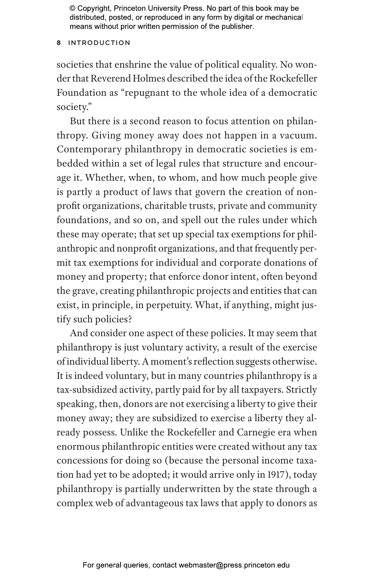**8** INTRODUCTION

societies that enshrine the value of political equality. No wonder that Reverend Holmes described the idea of the Rockefeller Foundation as "repugnant to the whole idea of a democratic society."

But there is a second reason to focus attention on philanthropy. Giving money away does not happen in a vacuum. Contemporary philanthropy in democratic societies is embedded within a set of legal rules that structure and encourage it. Whether, when, to whom, and how much people give is partly a product of laws that govern the creation of nonprofit organizations, charitable trusts, private and community foundations, and so on, and spell out the rules under which these may operate; that set up special tax exemptions for philanthropic and nonprofit organizations, and that frequently permit tax exemptions for individual and corporate donations of money and property; that enforce donor intent, often beyond the grave, creating philanthropic projects and entities that can exist, in principle, in perpetuity. What, if anything, might justify such policies?

And consider one aspect of these policies. It may seem that philanthropy is just voluntary activity, a result of the exercise of individual liberty. A moment's reflection suggests otherwise. It is indeed voluntary, but in many countries philanthropy is a tax-subsidized activity, partly paid for by all taxpayers. Strictly speaking, then, donors are not exercising a liberty to give their money away; they are subsidized to exercise a liberty they already possess. Unlike the Rockefeller and Carnegie era when enormous philanthropic entities were created without any tax concessions for doing so (because the personal income taxation had yet to be adopted; it would arrive only in 1917), today philanthropy is partially underwritten by the state through a complex web of advantageous tax laws that apply to donors as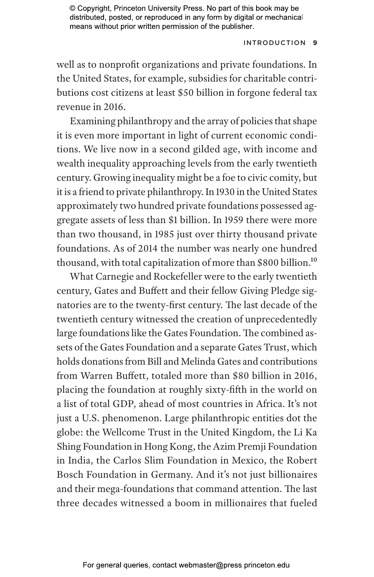#### Introduction **9**

well as to nonprofit organizations and private foundations. In the United States, for example, subsidies for charitable contributions cost citizens at least \$50 billion in forgone federal tax revenue in 2016.

Examining philanthropy and the array of policies that shape it is even more important in light of current economic conditions. We live now in a second gilded age, with income and wealth inequality approaching levels from the early twentieth century. Growing inequality might be a foe to civic comity, but it is a friend to private philanthropy. In 1930 in the United States approximately two hundred private foundations possessed aggregate assets of less than \$1 billion. In 1959 there were more than two thousand, in 1985 just over thirty thousand private foundations. As of 2014 the number was nearly one hundred thousand, with total capitalization of more than \$800 billion.<sup>10</sup>

What Carnegie and Rockefeller were to the early twentieth century, Gates and Buffett and their fellow Giving Pledge signatories are to the twenty-first century. The last decade of the twentieth century witnessed the creation of unprecedentedly large foundations like the Gates Foundation. The combined assets of the Gates Foundation and a separate Gates Trust, which holds donations from Bill and Melinda Gates and contributions from Warren Buffett, totaled more than \$80 billion in 2016, placing the foundation at roughly sixty-fifth in the world on a list of total GDP, ahead of most countries in Africa. It's not just a U.S. phenomenon. Large philanthropic entities dot the globe: the Wellcome Trust in the United Kingdom, the Li Ka Shing Foundation in Hong Kong, the Azim Premji Foundation in India, the Carlos Slim Foundation in Mexico, the Robert Bosch Foundation in Germany. And it's not just billionaires and their mega-foundations that command attention. The last three decades witnessed a boom in millionaires that fueled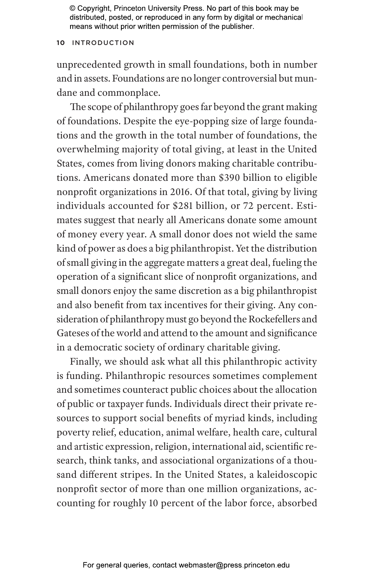## **10** INTRODUCTION

unprecedented growth in small foundations, both in number and in assets. Foundations are no longer controversial but mundane and commonplace.

The scope of philanthropy goes far beyond the grant making of foundations. Despite the eye-popping size of large foundations and the growth in the total number of foundations, the overwhelming majority of total giving, at least in the United States, comes from living donors making charitable contributions. Americans donated more than \$390 billion to eligible nonprofit organizations in 2016. Of that total, giving by living individuals accounted for \$281 billion, or 72 percent. Estimates suggest that nearly all Americans donate some amount of money every year. A small donor does not wield the same kind of power as does a big philanthropist. Yet the distribution of small giving in the aggregate matters a great deal, fueling the operation of a significant slice of nonprofit organizations, and small donors enjoy the same discretion as a big philanthropist and also benefit from tax incentives for their giving. Any consideration of philanthropy must go beyond the Rockefellers and Gateses of the world and attend to the amount and significance in a democratic society of ordinary charitable giving.

Finally, we should ask what all this philanthropic activity is funding. Philanthropic resources sometimes complement and sometimes counteract public choices about the allocation of public or taxpayer funds. Individuals direct their private resources to support social benefits of myriad kinds, including poverty relief, education, animal welfare, health care, cultural and artistic expression, religion, international aid, scientific research, think tanks, and associational organizations of a thousand different stripes. In the United States, a kaleidoscopic nonprofit sector of more than one million organizations, accounting for roughly 10 percent of the labor force, absorbed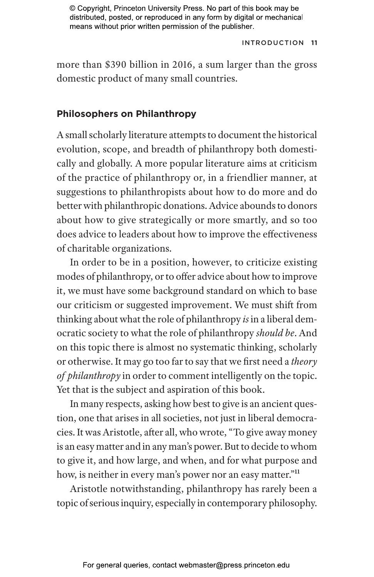#### Introduction **11**

more than \$390 billion in 2016, a sum larger than the gross domestic product of many small countries.

## **Philosophers on Philanthropy**

A small scholarly literature attempts to document the historical evolution, scope, and breadth of philanthropy both domestically and globally. A more popular literature aims at criticism of the practice of philanthropy or, in a friendlier manner, at suggestions to philanthropists about how to do more and do better with philanthropic donations. Advice abounds to donors about how to give strategically or more smartly, and so too does advice to leaders about how to improve the effectiveness of charitable organizations.

In order to be in a position, however, to criticize existing modes of philanthropy, or to offer advice about how to improve it, we must have some background standard on which to base our criticism or suggested improvement. We must shift from thinking about what the role of philanthropy *is* in a liberal democratic society to what the role of philanthropy *should be*. And on this topic there is almost no systematic thinking, scholarly or otherwise. It may go too far to say that we first need a *theory of philanthropy* in order to comment intelligently on the topic. Yet that is the subject and aspiration of this book.

In many respects, asking how best to give is an ancient question, one that arises in all societies, not just in liberal democracies. It was Aristotle, after all, who wrote, "To give away money is an easy matter and in any man's power. But to decide to whom to give it, and how large, and when, and for what purpose and how, is neither in every man's power nor an easy matter."<sup>11</sup>

Aristotle notwithstanding, philanthropy has rarely been a topic of serious inquiry, especially in contemporary philosophy.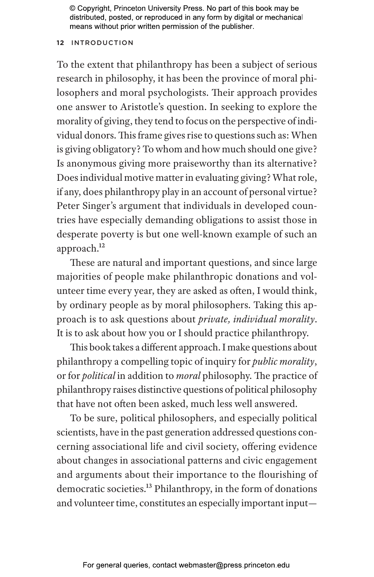## **12** INTRODUCTION

To the extent that philanthropy has been a subject of serious research in philosophy, it has been the province of moral philosophers and moral psychologists. Their approach provides one answer to Aristotle's question. In seeking to explore the morality of giving, they tend to focus on the perspective of individual donors. This frame gives rise to questions such as: When is giving obligatory? To whom and how much should one give? Is anonymous giving more praiseworthy than its alternative? Does individual motive matter in evaluating giving? What role, if any, does philanthropy play in an account of personal virtue? Peter Singer's argument that individuals in developed countries have especially demanding obligations to assist those in desperate poverty is but one well-known example of such an approach.12

These are natural and important questions, and since large majorities of people make philanthropic donations and volunteer time every year, they are asked as often, I would think, by ordinary people as by moral philosophers. Taking this approach is to ask questions about *private, individual morality*. It is to ask about how you or I should practice philanthropy.

This book takes a different approach. I make questions about philanthropy a compelling topic of inquiry for *public morality*, or for *political* in addition to *moral* philosophy. The practice of philanthropy raises distinctive questions of political philosophy that have not often been asked, much less well answered.

To be sure, political philosophers, and especially political scientists, have in the past generation addressed questions concerning associational life and civil society, offering evidence about changes in associational patterns and civic engagement and arguments about their importance to the flourishing of democratic societies.13 Philanthropy, in the form of donations and volunteer time, constitutes an especially important input—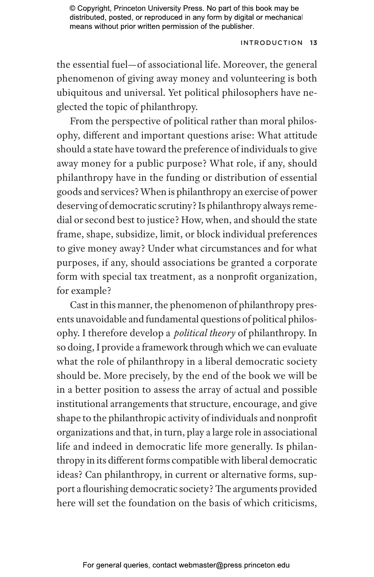## Introduction **13**

the essential fuel—of associational life. Moreover, the general phenomenon of giving away money and volunteering is both ubiquitous and universal. Yet political philosophers have neglected the topic of philanthropy.

From the perspective of political rather than moral philosophy, different and important questions arise: What attitude should a state have toward the preference of individuals to give away money for a public purpose? What role, if any, should philanthropy have in the funding or distribution of essential goods and services? When is philanthropy an exercise of power deserving of democratic scrutiny? Is philanthropy always remedial or second best to justice? How, when, and should the state frame, shape, subsidize, limit, or block individual preferences to give money away? Under what circumstances and for what purposes, if any, should associations be granted a corporate form with special tax treatment, as a nonprofit organization, for example?

Cast in this manner, the phenomenon of philanthropy presents unavoidable and fundamental questions of political philosophy. I therefore develop a *political theory* of philanthropy. In so doing, I provide a framework through which we can evaluate what the role of philanthropy in a liberal democratic society should be. More precisely, by the end of the book we will be in a better position to assess the array of actual and possible institutional arrangements that structure, encourage, and give shape to the philanthropic activity of individuals and nonprofit organizations and that, in turn, play a large role in associational life and indeed in democratic life more generally. Is philanthropy in its different forms compatible with liberal democratic ideas? Can philanthropy, in current or alternative forms, support a flourishing democratic society? The arguments provided here will set the foundation on the basis of which criticisms,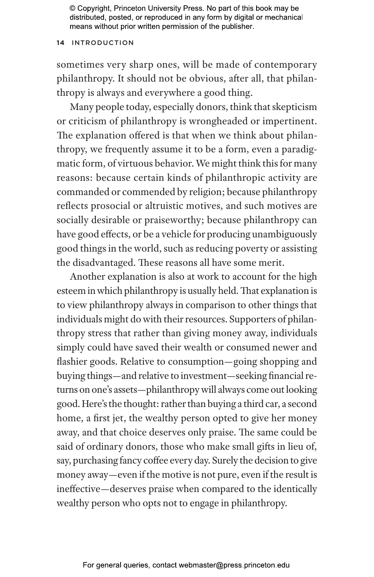## **14** INTRODUCTION

sometimes very sharp ones, will be made of contemporary philanthropy. It should not be obvious, after all, that philanthropy is always and everywhere a good thing.

Many people today, especially donors, think that skepticism or criticism of philanthropy is wrongheaded or impertinent. The explanation offered is that when we think about philanthropy, we frequently assume it to be a form, even a paradigmatic form, of virtuous behavior. We might think this for many reasons: because certain kinds of philanthropic activity are commanded or commended by religion; because philanthropy reflects prosocial or altruistic motives, and such motives are socially desirable or praiseworthy; because philanthropy can have good effects, or be a vehicle for producing unambiguously good things in the world, such as reducing poverty or assisting the disadvantaged. These reasons all have some merit.

Another explanation is also at work to account for the high esteem in which philanthropy is usually held. That explanation is to view philanthropy always in comparison to other things that individuals might do with their resources. Supporters of philanthropy stress that rather than giving money away, individuals simply could have saved their wealth or consumed newer and flashier goods. Relative to consumption—going shopping and buying things—and relative to investment—seeking financial returns on one's assets—philanthropy will always come out looking good. Here's the thought: rather than buying a third car, a second home, a first jet, the wealthy person opted to give her money away, and that choice deserves only praise. The same could be said of ordinary donors, those who make small gifts in lieu of, say, purchasing fancy coffee every day. Surely the decision to give money away—even if the motive is not pure, even if the result is ineffective—deserves praise when compared to the identically wealthy person who opts not to engage in philanthropy.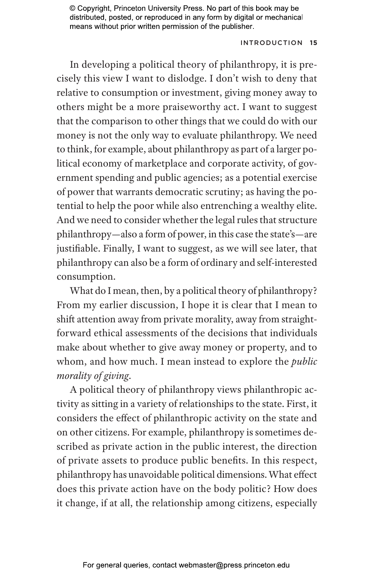#### Introduction **15**

In developing a political theory of philanthropy, it is precisely this view I want to dislodge. I don't wish to deny that relative to consumption or investment, giving money away to others might be a more praiseworthy act. I want to suggest that the comparison to other things that we could do with our money is not the only way to evaluate philanthropy. We need to think, for example, about philanthropy as part of a larger political economy of marketplace and corporate activity, of government spending and public agencies; as a potential exercise of power that warrants democratic scrutiny; as having the potential to help the poor while also entrenching a wealthy elite. And we need to consider whether the legal rules that structure philanthropy—also a form of power, in this case the state's—are justifiable. Finally, I want to suggest, as we will see later, that philanthropy can also be a form of ordinary and self-interested consumption.

What do I mean, then, by a political theory of philanthropy? From my earlier discussion, I hope it is clear that I mean to shift attention away from private morality, away from straightforward ethical assessments of the decisions that individuals make about whether to give away money or property, and to whom, and how much. I mean instead to explore the *public morality of giving*.

A political theory of philanthropy views philanthropic activity as sitting in a variety of relationships to the state. First, it considers the effect of philanthropic activity on the state and on other citizens. For example, philanthropy is sometimes described as private action in the public interest, the direction of private assets to produce public benefits. In this respect, philanthropy has unavoidable political dimensions. What effect does this private action have on the body politic? How does it change, if at all, the relationship among citizens, especially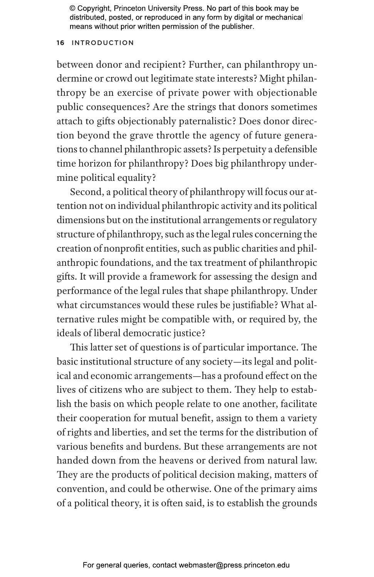## **16** INTRODUCTION

between donor and recipient? Further, can philanthropy undermine or crowd out legitimate state interests? Might philanthropy be an exercise of private power with objectionable public consequences? Are the strings that donors sometimes attach to gifts objectionably paternalistic? Does donor direction beyond the grave throttle the agency of future generations to channel philanthropic assets? Is perpetuity a defensible time horizon for philanthropy? Does big philanthropy undermine political equality?

Second, a political theory of philanthropy will focus our attention not on individual philanthropic activity and its political dimensions but on the institutional arrangements or regulatory structure of philanthropy, such as the legal rules concerning the creation of nonprofit entities, such as public charities and philanthropic foundations, and the tax treatment of philanthropic gifts. It will provide a framework for assessing the design and performance of the legal rules that shape philanthropy. Under what circumstances would these rules be justifiable? What alternative rules might be compatible with, or required by, the ideals of liberal democratic justice?

This latter set of questions is of particular importance. The basic institutional structure of any society—its legal and political and economic arrangements—has a profound effect on the lives of citizens who are subject to them. They help to establish the basis on which people relate to one another, facilitate their cooperation for mutual benefit, assign to them a variety of rights and liberties, and set the terms for the distribution of various benefits and burdens. But these arrangements are not handed down from the heavens or derived from natural law. They are the products of political decision making, matters of convention, and could be otherwise. One of the primary aims of a political theory, it is often said, is to establish the grounds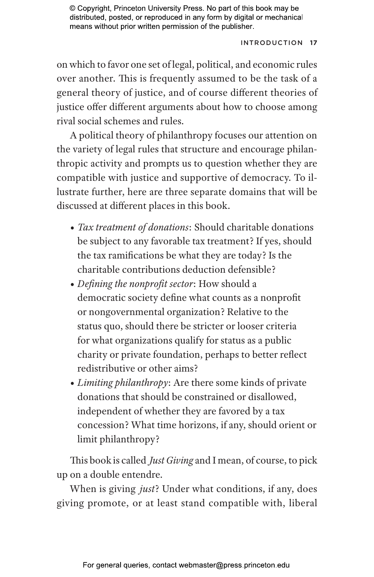## Introduction **17**

on which to favor one set of legal, political, and economic rules over another. This is frequently assumed to be the task of a general theory of justice, and of course different theories of justice offer different arguments about how to choose among rival social schemes and rules.

A political theory of philanthropy focuses our attention on the variety of legal rules that structure and encourage philanthropic activity and prompts us to question whether they are compatible with justice and supportive of democracy. To illustrate further, here are three separate domains that will be discussed at different places in this book.

- *Tax treatment of donations*: Should charitable donations be subject to any favorable tax treatment? If yes, should the tax ramifications be what they are today? Is the charitable contributions deduction defensible?
- *Defining the nonprofit sector*: How should a democratic society define what counts as a nonprofit or nongovernmental organization? Relative to the status quo, should there be stricter or looser criteria for what organizations qualify for status as a public charity or private foundation, perhaps to better reflect redistributive or other aims?
- *Limiting philanthropy*: Are there some kinds of private donations that should be constrained or disallowed, independent of whether they are favored by a tax concession? What time horizons, if any, should orient or limit philanthropy?

This book is called *Just Giving* and I mean, of course, to pick up on a double entendre.

When is giving *just*? Under what conditions, if any, does giving promote, or at least stand compatible with, liberal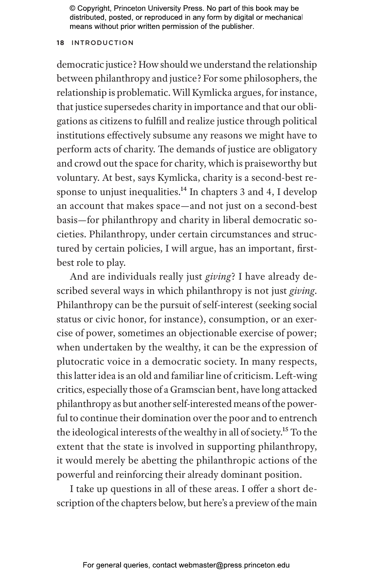## **18** INTRODUCTION

democratic justice? How should we understand the relationship between philanthropy and justice? For some philosophers, the relationship is problematic. Will Kymlicka argues, for instance, that justice supersedes charity in importance and that our obligations as citizens to fulfill and realize justice through political institutions effectively subsume any reasons we might have to perform acts of charity. The demands of justice are obligatory and crowd out the space for charity, which is praiseworthy but voluntary. At best, says Kymlicka, charity is a second-best response to unjust inequalities.<sup>14</sup> In chapters 3 and 4, I develop an account that makes space—and not just on a second-best basis—for philanthropy and charity in liberal democratic societies. Philanthropy, under certain circumstances and structured by certain policies, I will argue, has an important, firstbest role to play.

And are individuals really just *giving*? I have already described several ways in which philanthropy is not just *giving*. Philanthropy can be the pursuit of self-interest (seeking social status or civic honor, for instance), consumption, or an exercise of power, sometimes an objectionable exercise of power; when undertaken by the wealthy, it can be the expression of plutocratic voice in a democratic society. In many respects, this latter idea is an old and familiar line of criticism. Left-wing critics, especially those of a Gramscian bent, have long attacked philanthropy as but another self-interested means of the powerful to continue their domination over the poor and to entrench the ideological interests of the wealthy in all of society.15 To the extent that the state is involved in supporting philanthropy, it would merely be abetting the philanthropic actions of the powerful and reinforcing their already dominant position.

I take up questions in all of these areas. I offer a short description of the chapters below, but here's a preview of the main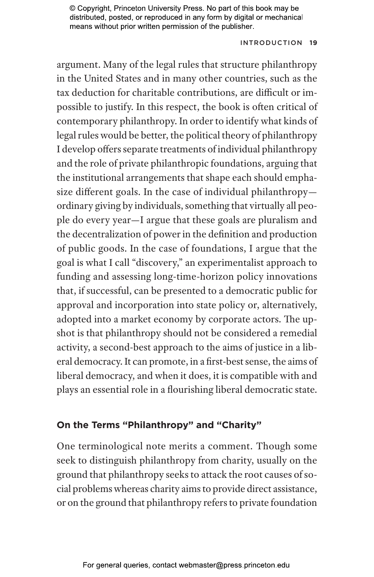#### Introduction **19**

argument. Many of the legal rules that structure philanthropy in the United States and in many other countries, such as the tax deduction for charitable contributions, are difficult or impossible to justify. In this respect, the book is often critical of contemporary philanthropy. In order to identify what kinds of legal rules would be better, the political theory of philanthropy I develop offers separate treatments of individual philanthropy and the role of private philanthropic foundations, arguing that the institutional arrangements that shape each should emphasize different goals. In the case of individual philanthropy ordinary giving by individuals, something that virtually all people do every year—I argue that these goals are pluralism and the decentralization of power in the definition and production of public goods. In the case of foundations, I argue that the goal is what I call "discovery," an experimentalist approach to funding and assessing long-time-horizon policy innovations that, if successful, can be presented to a democratic public for approval and incorporation into state policy or, alternatively, adopted into a market economy by corporate actors. The upshot is that philanthropy should not be considered a remedial activity, a second-best approach to the aims of justice in a liberal democracy. It can promote, in a first-best sense, the aims of liberal democracy, and when it does, it is compatible with and plays an essential role in a flourishing liberal democratic state.

# **On the Terms "Philanthropy" and "Charity"**

One terminological note merits a comment. Though some seek to distinguish philanthropy from charity, usually on the ground that philanthropy seeks to attack the root causes of social problems whereas charity aims to provide direct assistance, or on the ground that philanthropy refers to private foundation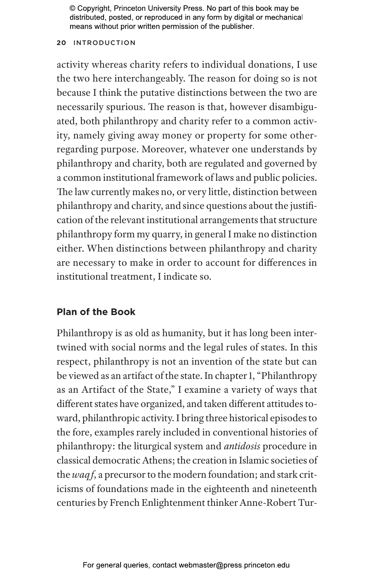## **20** INTRODUCTION

activity whereas charity refers to individual donations, I use the two here interchangeably. The reason for doing so is not because I think the putative distinctions between the two are necessarily spurious. The reason is that, however disambiguated, both philanthropy and charity refer to a common activity, namely giving away money or property for some otherregarding purpose. Moreover, whatever one understands by philanthropy and charity, both are regulated and governed by a common institutional framework of laws and public policies. The law currently makes no, or very little, distinction between philanthropy and charity, and since questions about the justification of the relevant institutional arrangements that structure philanthropy form my quarry, in general I make no distinction either. When distinctions between philanthropy and charity are necessary to make in order to account for differences in institutional treatment, I indicate so.

## **Plan of the Book**

Philanthropy is as old as humanity, but it has long been intertwined with social norms and the legal rules of states. In this respect, philanthropy is not an invention of the state but can be viewed as an artifact of the state. In chapter 1, "Philanthropy as an Artifact of the State," I examine a variety of ways that different states have organized, and taken different attitudes toward, philanthropic activity. I bring three historical episodes to the fore, examples rarely included in conventional histories of philanthropy: the liturgical system and *antidosis* procedure in classical democratic Athens; the creation in Islamic societies of the *waq f*, a precursor to the modern foundation; and stark criticisms of foundations made in the eighteenth and nineteenth centuries by French Enlightenment thinker Anne-Robert Tur-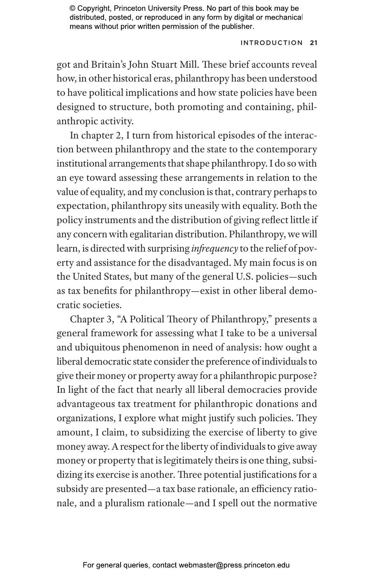## Introduction **21**

got and Britain's John Stuart Mill. These brief accounts reveal how, in other historical eras, philanthropy has been understood to have political implications and how state policies have been designed to structure, both promoting and containing, philanthropic activity.

In chapter 2, I turn from historical episodes of the interaction between philanthropy and the state to the contemporary institutional arrangements that shape philanthropy. I do so with an eye toward assessing these arrangements in relation to the value of equality, and my conclusion is that, contrary perhaps to expectation, philanthropy sits uneasily with equality. Both the policy instruments and the distribution of giving reflect little if any concern with egalitarian distribution. Philanthropy, we will learn, is directed with surprising *infrequency* to the relief of poverty and assistance for the disadvantaged. My main focus is on the United States, but many of the general U.S. policies—such as tax benefits for philanthropy—exist in other liberal democratic societies.

Chapter 3, "A Political Theory of Philanthropy," presents a general framework for assessing what I take to be a universal and ubiquitous phenomenon in need of analysis: how ought a liberal democratic state consider the preference of individuals to give their money or property away for a philanthropic purpose? In light of the fact that nearly all liberal democracies provide advantageous tax treatment for philanthropic donations and organizations, I explore what might justify such policies. They amount, I claim, to subsidizing the exercise of liberty to give money away. A respect for the liberty of individuals to give away money or property that is legitimately theirs is one thing, subsidizing its exercise is another. Three potential justifications for a subsidy are presented—a tax base rationale, an efficiency rationale, and a pluralism rationale—and I spell out the normative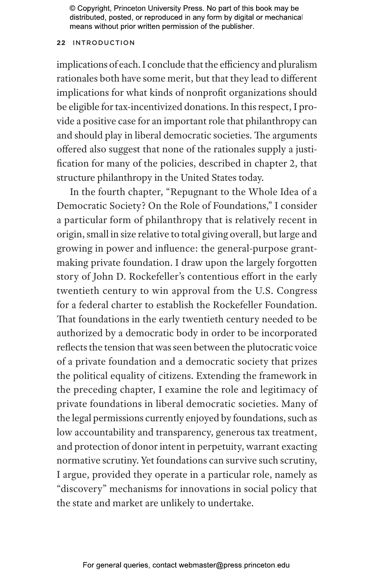#### **22** INTRODUCTION

implications of each. I conclude that the efficiency and pluralism rationales both have some merit, but that they lead to different implications for what kinds of nonprofit organizations should be eligible for tax-incentivized donations. In this respect, I provide a positive case for an important role that philanthropy can and should play in liberal democratic societies. The arguments offered also suggest that none of the rationales supply a justification for many of the policies, described in chapter 2, that structure philanthropy in the United States today.

In the fourth chapter, "Repugnant to the Whole Idea of a Democratic Society? On the Role of Foundations," I consider a particular form of philanthropy that is relatively recent in origin, small in size relative to total giving overall, but large and growing in power and influence: the general-purpose grantmaking private foundation. I draw upon the largely forgotten story of John D. Rockefeller's contentious effort in the early twentieth century to win approval from the U.S. Congress for a federal charter to establish the Rockefeller Foundation. That foundations in the early twentieth century needed to be authorized by a democratic body in order to be incorporated reflects the tension that was seen between the plutocratic voice of a private foundation and a democratic society that prizes the political equality of citizens. Extending the framework in the preceding chapter, I examine the role and legitimacy of private foundations in liberal democratic societies. Many of the legal permissions currently enjoyed by foundations, such as low accountability and transparency, generous tax treatment, and protection of donor intent in perpetuity, warrant exacting normative scrutiny. Yet foundations can survive such scrutiny, I argue, provided they operate in a particular role, namely as "discovery" mechanisms for innovations in social policy that the state and market are unlikely to undertake.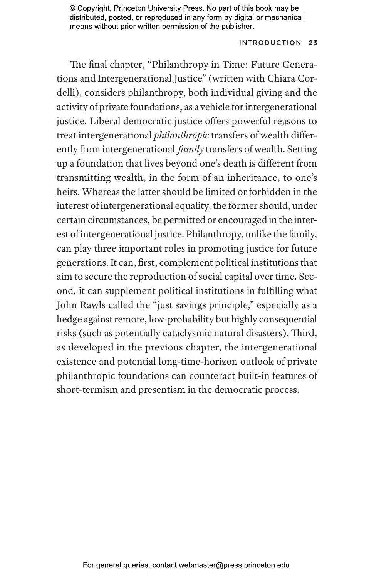#### Introduction **23**

The final chapter, "Philanthropy in Time: Future Generations and Intergenerational Justice" (written with Chiara Cordelli), considers philanthropy, both individual giving and the activity of private foundations, as a vehicle for intergenerational justice. Liberal democratic justice offers powerful reasons to treat intergenerational *philanthropic* transfers of wealth differently from intergenerational *family* transfers of wealth. Setting up a foundation that lives beyond one's death is different from transmitting wealth, in the form of an inheritance, to one's heirs. Whereas the latter should be limited or forbidden in the interest of intergenerational equality, the former should, under certain circumstances, be permitted or encouraged in the interest of intergenerational justice. Philanthropy, unlike the family, can play three important roles in promoting justice for future generations. It can, first, complement political institutions that aim to secure the reproduction of social capital over time. Second, it can supplement political institutions in fulfilling what John Rawls called the "just savings principle," especially as a hedge against remote, low-probability but highly consequential risks (such as potentially cataclysmic natural disasters). Third, as developed in the previous chapter, the intergenerational existence and potential long-time-horizon outlook of private philanthropic foundations can counteract built-in features of short-termism and presentism in the democratic process.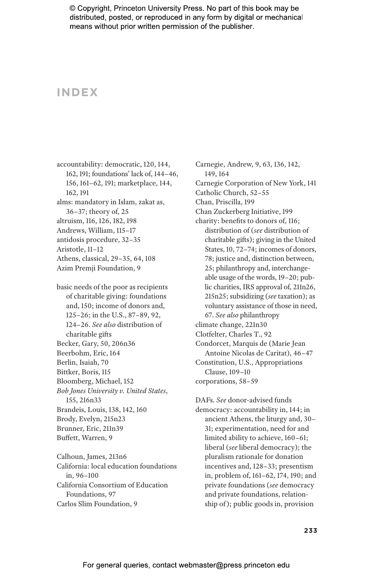# **INDEX**

accountability: democratic, 120, 144, 162, 191; foundations' lack of, 144–46, 156, 161–62, 191; marketplace, 144, 162, 191 alms: mandatory in Islam, zakat as, 36–37; theory of, 25 altruism, 116, 126, 182, 198 Andrews, William, 115–17 antidosis procedure, 32–35 Aristotle, 11–12 Athens, classical, 29–35, 64, 108 Azim Premji Foundation, 9 basic needs of the poor as recipients

of charitable giving: foundations and, 150; income of donors and, 125–26; in the U.S., 87–89, 92, 124–26. *See also* distribution of charitable gifts Becker, Gary, 50, 206n36 Beerbohm, Eric, 164 Berlin, Isaiah, 70 Bittker, Boris, 115 Bloomberg, Michael, 152 *Bob Jones University v. United States*, 155, 216n33 Brandeis, Louis, 138, 142, 160 Brody, Evelyn, 215n23 Brunner, Eric, 211n39 Buffett, Warren, 9

Calhoun, James, 213n6 California: local education foundations in, 96–100 California Consortium of Education Foundations, 97 Carlos Slim Foundation, 9

Carnegie, Andrew, 9, 63, 136, 142, 149, 164 Carnegie Corporation of New York, 141 Catholic Church, 52–55 Chan, Priscilla, 199 Chan Zuckerberg Initiative, 199 charity: benefits to donors of, 116; distribution of (*see* distribution of charitable gifts); giving in the United States, 10, 72–74; incomes of donors, 78; justice and, distinction between, 25; philanthropy and, interchangeable usage of the words, 19–20; public charities, IRS approval of, 211n26, 215n25; subsidizing (*see* taxation); as voluntary assistance of those in need, 67. *See also* philanthropy climate change, 221n30 Clotfelter, Charles T., 92 Condorcet, Marquis de (Marie Jean Antoine Nicolas de Caritat), 46–47 Constitution, U.S., Appropriations Clause, 109–10 corporations, 58–59

DAFs. *See* donor-advised funds democracy: accountability in, 144; in ancient Athens, the liturgy and, 30– 31; experimentation, need for and limited ability to achieve, 160–61; liberal (*see* liberal democracy); the pluralism rationale for donation incentives and, 128–33; presentism in, problem of, 161–62, 174, 190; and private foundations (*see* democracy and private foundations, relationship of ); public goods in, provision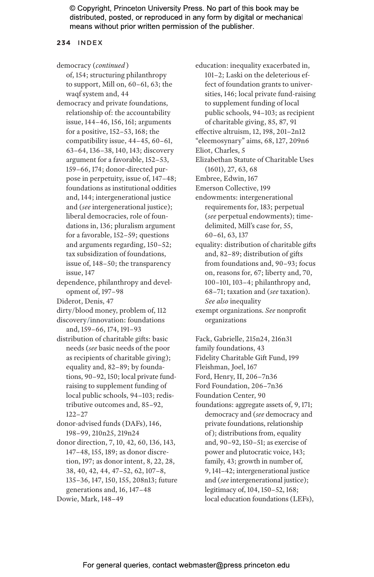#### **234** Index

democracy (*continued*)

of, 154; structuring philanthropy to support, Mill on, 60–61, 63; the waqf system and, 44

- democracy and private foundations, relationship of: the accountability issue, 144–46, 156, 161; arguments for a positive, 152–53, 168; the compatibility issue, 44–45, 60–61, 63–64, 136–38, 140, 143; discovery argument for a favorable, 152–53, 159–66, 174; donor-directed purpose in perpetuity, issue of, 147–48; foundations as institutional oddities and, 144; intergenerational justice and (*see* intergenerational justice); liberal democracies, role of foundations in, 136; pluralism argument for a favorable, 152–59; questions and arguments regarding, 150–52; tax subsidization of foundations, issue of, 148–50; the transparency issue, 147
- dependence, philanthropy and development of, 197–98
- Diderot, Denis, 47

dirty/blood money, problem of, 112 discovery/innovation: foundations and, 159–66, 174, 191–93

- distribution of charitable gifts: basic needs (*see* basic needs of the poor as recipients of charitable giving); equality and, 82–89; by foundations, 90–92, 150; local private fundraising to supplement funding of local public schools, 94–103; redistributive outcomes and, 85–92, 122–27
- donor-advised funds (DAFs), 146, 198–99, 210n25, 219n24

donor direction, 7, 10, 42, 60, 136, 143, 147–48, 155, 189; as donor discretion, 197; as donor intent, 8, 22, 28, 38, 40, 42, 44, 47–52, 62, 107–8, 135–36, 147, 150, 155, 208n13; future generations and, 16, 147–48 Dowie, Mark, 148–49

education: inequality exacerbated in, 101–2; Laski on the deleterious effect of foundation grants to universities, 146; local private fund-raising to supplement funding of local public schools, 94–103; as recipient of charitable giving, 85, 87, 91 effective altruism, 12, 198, 201–2n12 "eleemosynary" aims, 68, 127, 209n6 Eliot, Charles, 5 Elizabethan Statute of Charitable Uses (1601), 27, 63, 68 Embree, Edwin, 167 Emerson Collective, 199 endowments: intergenerational requirements for, 183; perpetual (*see* perpetual endowments); timedelimited, Mill's case for, 55,

60–61, 63, 137

- equality: distribution of charitable gifts and, 82–89; distribution of gifts from foundations and, 90–93; focus on, reasons for, 67; liberty and, 70, 100–101, 103–4; philanthropy and, 68–71; taxation and (*see* taxation). *See also* inequality
- exempt organizations. *See* nonprofit organizations
- Fack, Gabrielle, 215n24, 216n31
- family foundations, 43
- Fidelity Charitable Gift Fund, 199
- Fleishman, Joel, 167
- Ford, Henry, II, 206–7n36
- Ford Foundation, 206–7n36

Foundation Center, 90

foundations: aggregate assets of, 9, 171; democracy and (*see* democracy and private foundations, relationship of ); distributions from, equality and, 90–92, 150–51; as exercise of power and plutocratic voice, 143; family, 43; growth in number of, 9, 141–42; intergenerational justice and (*see* intergenerational justice); legitimacy of, 104, 150–52, 168; local education foundations (LEFs),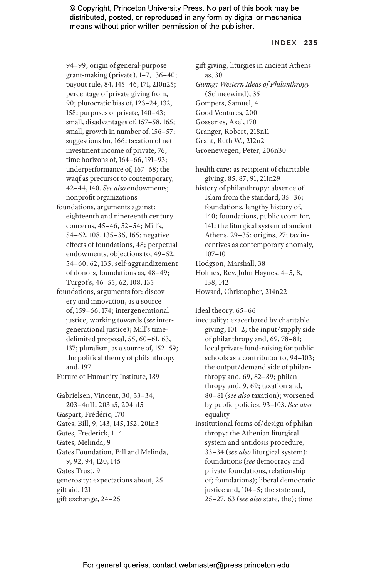#### Index **235**

94–99; origin of general-purpose grant-making (private), 1–7, 136–40; payout rule, 84, 145–46, 171, 210n25; percentage of private giving from, 90; plutocratic bias of, 123–24, 132, 158; purposes of private, 140–43; small, disadvantages of, 157–58, 165; small, growth in number of, 156–57; suggestions for, 166; taxation of net investment income of private, 76; time horizons of, 164–66, 191–93; underperformance of, 167–68; the waqf as precursor to contemporary, 42–44, 140. *See also* endowments; nonprofit organizations

- foundations, arguments against: eighteenth and nineteenth century concerns, 45–46, 52–54; Mill's, 54–62, 108, 135–36, 165; negative effects of foundations, 48; perpetual endowments, objections to, 49–52, 54–60, 62, 135; self-aggrandizement of donors, foundations as, 48–49; Turgot's, 46–55, 62, 108, 135
- foundations, arguments for: discovery and innovation, as a source of, 159–66, 174; intergenerational justice, working towards (*see* intergenerational justice); Mill's timedelimited proposal, 55, 60–61, 63, 137; pluralism, as a source of, 152–59; the political theory of philanthropy and, 197

Future of Humanity Institute, 189

Gabrielsen, Vincent, 30, 33–34, 203–4n11, 203n5, 204n15 Gaspart, Frédéric, 170 Gates, Bill, 9, 143, 145, 152, 201n3 Gates, Frederick, 1–4 Gates, Melinda, 9 Gates Foundation, Bill and Melinda, 9, 92, 94, 120, 145 Gates Trust, 9 generosity: expectations about, 25 gift aid, 121 gift exchange, 24–25

gift giving, liturgies in ancient Athens as, 30 *Giving: Western Ideas of Philanthropy* (Schneewind), 35 Gompers, Samuel, 4 Good Ventures, 200 Gosseries, Axel, 170 Granger, Robert, 218n11 Grant, Ruth W., 212n2 Groenewegen, Peter, 206n30

health care: as recipient of charitable giving, 85, 87, 91, 211n29 history of philanthropy: absence of Islam from the standard, 35–36; foundations, lengthy history of, 140; foundations, public scorn for, 141; the liturgical system of ancient Athens, 29–35; origins, 27; tax incentives as contemporary anomaly, 107–10

- Hodgson, Marshall, 38
- Holmes, Rev. John Haynes, 4–5, 8, 138, 142
- Howard, Christopher, 214n22

ideal theory, 65–66

- inequality: exacerbated by charitable giving, 101–2; the input/supply side of philanthropy and, 69, 78–81; local private fund-raising for public schools as a contributor to, 94–103; the output/demand side of philanthropy and, 69, 82–89; philanthropy and, 9, 69; taxation and, 80–81 (*see also* taxation); worsened by public policies, 93–103. *See also* equality
- institutional forms of/design of philanthropy: the Athenian liturgical system and antidosis procedure, 33–34 (*see also* liturgical system); foundations (*see* democracy and private foundations, relationship of; foundations); liberal democratic justice and, 104–5; the state and, 25–27, 63 (*see also* state, the); time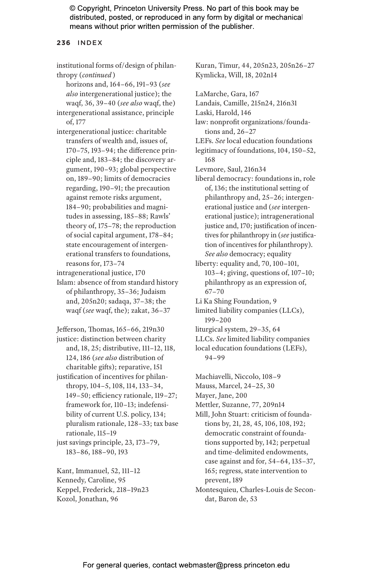#### **236** Index

institutional forms of/design of philanthropy (*continued*)

horizons and, 164–66, 191–93 (*see also* intergenerational justice); the waqf, 36, 39–40 (*see also* waqf, the) intergenerational assistance, principle

- of, 177
- intergenerational justice: charitable transfers of wealth and, issues of, 170–75, 193–94; the difference principle and, 183–84; the discovery argument, 190–93; global perspective on, 189–90; limits of democracies regarding, 190–91; the precaution against remote risks argument, 184–90; probabilities and magnitudes in assessing, 185–88; Rawls' theory of, 175–78; the reproduction of social capital argument, 178–84; state encouragement of intergenerational transfers to foundations, reasons for, 173–74
- intragenerational justice, 170
- Islam: absence of from standard history of philanthropy, 35–36; Judaism and, 205n20; sadaqa, 37–38; the waqf (*see* waqf, the); zakat, 36–37
- Jefferson, Thomas, 165–66, 219n30 justice: distinction between charity and, 18, 25; distributive, 111–12, 118, 124, 186 (*see also* distribution of charitable gifts); reparative, 151 justification of incentives for philanthropy, 104–5, 108, 114, 133–34,
- 149–50; efficiency rationale, 119–27; framework for, 110–13; indefensibility of current U.S. policy, 134; pluralism rationale, 128–33; tax base rationale, 115–19
- just savings principle, 23, 173–79, 183–86, 188–90, 193

Kant, Immanuel, 52, 111–12 Kennedy, Caroline, 95 Keppel, Frederick, 218–19n23 Kozol, Jonathan, 96

Kuran, Timur, 44, 205n23, 205n26–27 Kymlicka, Will, 18, 202n14 LaMarche, Gara, 167 Landais, Camille, 215n24, 216n31 Laski, Harold, 146 law: nonprofit organizations/foundations and, 26–27 LEFs. *See* local education foundations legitimacy of foundations, 104, 150–52, 168 Levmore, Saul, 216n34 liberal democracy: foundations in, role of, 136; the institutional setting of philanthropy and, 25–26; intergenerational justice and (*see* intergenerational justice); intragenerational justice and, 170; justification of incentives for philanthropy in (*see* justification of incentives for philanthropy). *See also* democracy; equality liberty: equality and, 70, 100–101, 103–4; giving, questions of, 107–10; philanthropy as an expression of, 67–70 Li Ka Shing Foundation, 9 limited liability companies (LLCs), 199–200 liturgical system, 29–35, 64 LLCs. *See* limited liability companies local education foundations (LEFs), 94–99

- Machiavelli, Niccolo, 108–9
- Mauss, Marcel, 24–25, 30
- Mayer, Jane, 200
- Mettler, Suzanne, 77, 209n14
- Mill, John Stuart: criticism of foundations by, 21, 28, 45, 106, 108, 192; democratic constraint of foundations supported by, 142; perpetual and time-delimited endowments, case against and for, 54–64, 135–37, 165; regress, state intervention to prevent, 189
- Montesquieu, Charles-Louis de Secondat, Baron de, 53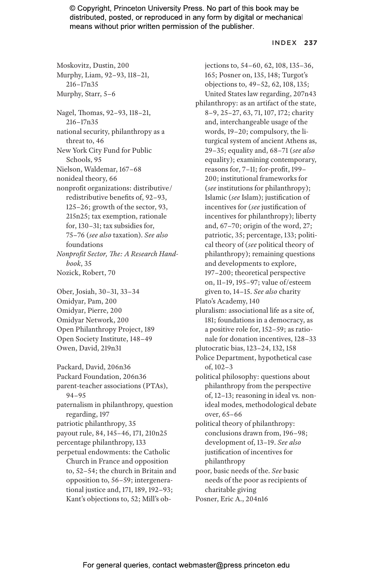#### Index **237**

Moskovitz, Dustin, 200 Murphy, Liam, 92–93, 118–21, 216–17n35 Murphy, Starr, 5–6 Nagel, Thomas, 92–93, 118–21, 216–17n35 national security, philanthropy as a threat to, 46 New York City Fund for Public Schools, 95 Nielson, Waldemar, 167–68 nonideal theory, 66 nonprofit organizations: distributive/ redistributive benefits of, 92–93, 125–26; growth of the sector, 93, 215n25; tax exemption, rationale for, 130–31; tax subsidies for, 75–76 (*see also* taxation). *See also* foundations *Nonprofit Sector, The: A Research Handbook*, 35 Nozick, Robert, 70 Ober, Josiah, 30–31, 33–34 Omidyar, Pam, 200 Omidyar, Pierre, 200 Omidyar Network, 200 Open Philanthropy Project, 189 Open Society Institute, 148–49 Owen, David, 219n31 Packard, David, 206n36 Packard Foundation, 206n36 parent-teacher associations (PTAs), 94–95 paternalism in philanthropy, question regarding, 197 patriotic philanthropy, 35 payout rule, 84, 145–46, 171, 210n25 percentage philanthropy, 133 perpetual endowments: the Catholic Church in France and opposition to, 52–54; the church in Britain and opposition to, 56–59; intergenera-

tional justice and, 171, 189, 192–93; Kant's objections to, 52; Mill's ob-

jections to, 54–60, 62, 108, 135–36, 165; Posner on, 135, 148; Turgot's objections to, 49–52, 62, 108, 135; United States law regarding, 207n43 philanthropy: as an artifact of the state, 8–9, 25–27, 63, 71, 107, 172; charity and, interchangeable usage of the words, 19–20; compulsory, the liturgical system of ancient Athens as, 29–35; equality and, 68–71 (*see also* equality); examining contemporary, reasons for, 7–11; for-profit, 199– 200; institutional frameworks for (*see* institutions for philanthropy); Islamic (*see* Islam); justification of incentives for (*see* justification of incentives for philanthropy); liberty and, 67–70; origin of the word, 27; patriotic, 35; percentage, 133; political theory of (*see* political theory of philanthropy); remaining questions and developments to explore, 197–200; theoretical perspective on, 11–19, 195–97; value of/esteem given to, 14–15. *See also* charity Plato's Academy, 140 pluralism: associational life as a site of, 181; foundations in a democracy, as a positive role for, 152–59; as rationale for donation incentives, 128–33 plutocratic bias, 123–24, 132, 158 Police Department, hypothetical case of, 102–3 political philosophy: questions about philanthropy from the perspective of, 12–13; reasoning in ideal vs*.* nonideal modes, methodological debate over, 65–66 political theory of philanthropy: conclusions drawn from, 196–98; development of, 13–19. *See also* justification of incentives for philanthropy poor, basic needs of the. *See* basic needs of the poor as recipients of charitable giving Posner, Eric A., 204n16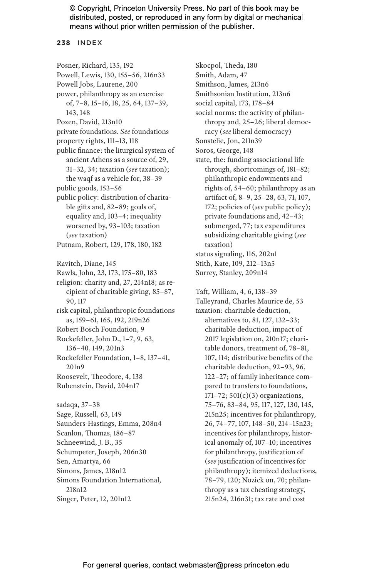#### **238** Index

Posner, Richard, 135, 192 Powell, Lewis, 130, 155–56, 216n33 Powell Jobs, Laurene, 200 power, philanthropy as an exercise of, 7–8, 15–16, 18, 25, 64, 137–39, 143, 148 Pozen, David, 213n10 private foundations. *See* foundations property rights, 111–13, 118 public finance: the liturgical system of ancient Athens as a source of, 29, 31–32, 34; taxation (*see* taxation); the waqf as a vehicle for, 38–39 public goods, 153–56 public policy: distribution of charitable gifts and, 82–89; goals of, equality and, 103–4; inequality worsened by, 93–103; taxation (*see* taxation) Putnam, Robert, 129, 178, 180, 182 Ravitch, Diane, 145 Rawls, John, 23, 173, 175–80, 183 religion: charity and, 27, 214n18; as recipient of charitable giving, 85–87, 90, 117 risk capital, philanthropic foundations as, 159–61, 165, 192, 219n26 Robert Bosch Foundation, 9 Rockefeller, John D., 1–7, 9, 63, 136–40, 149, 201n3 Rockefeller Foundation, 1–8, 137–41, 201n9 Roosevelt, Theodore, 4, 138 Rubenstein, David, 204n17 sadaqa, 37–38 Sage, Russell, 63, 149 Saunders-Hastings, Emma, 208n4 Scanlon, Thomas, 186–87 Schneewind, J. B., 35 Schumpeter, Joseph, 206n30 Sen, Amartya, 66 Simons, James, 218n12 Simons Foundation International, 218n12 Singer, Peter, 12, 201n12

Skocpol, Theda, 180 Smith, Adam, 47 Smithson, James, 213n6 Smithsonian Institution, 213n6 social capital, 173, 178–84 social norms: the activity of philanthropy and, 25–26; liberal democracy (*see* liberal democracy) Sonstelie, Jon, 211n39 Soros, George, 148 state, the: funding associational life through, shortcomings of, 181–82; philanthropic endowments and rights of, 54–60; philanthropy as an artifact of, 8–9, 25–28, 63, 71, 107, 172; policies of (*see* public policy); private foundations and, 42–43; submerged, 77; tax expenditures subsidizing charitable giving (*see* taxation) status signaling, 116, 202n1 Stith, Kate, 109, 212–13n5 Surrey, Stanley, 209n14 Taft, William, 4, 6, 138–39 Talleyrand, Charles Maurice de, 53 taxation: charitable deduction, alternatives to, 81, 127, 132–33; charitable deduction, impact of 2017 legislation on, 210n17; charitable donors, treatment of, 78–81, 107, 114; distributive benefits of the charitable deduction, 92–93, 96, 122–27; of family inheritance compared to transfers to foundations, 171–72; 501(c)(3) organizations, 75–76, 83–84, 95, 117, 127, 130, 145, 215n25; incentives for philanthropy, 26, 74–77, 107, 148–50, 214–15n23; incentives for philanthropy, historical anomaly of, 107–10; incentives for philanthropy, justification of (*see* justification of incentives for philanthropy); itemized deductions, 78–79, 120; Nozick on, 70; philanthropy as a tax cheating strategy, 215n24, 216n31; tax rate and cost